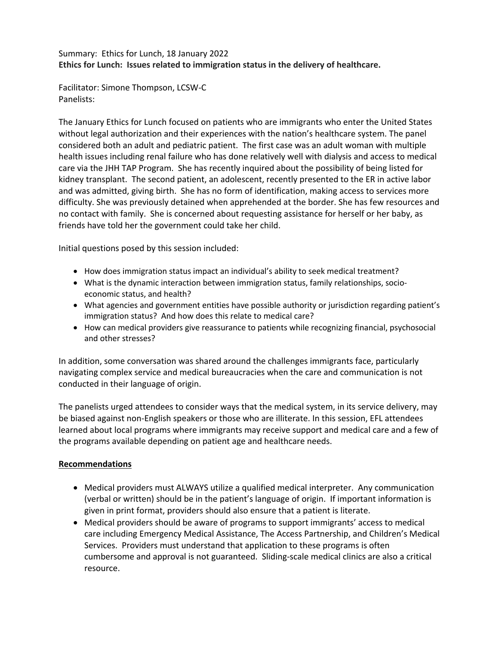## Summary: Ethics for Lunch, 18 January 2022 **Ethics for Lunch: Issues related to immigration status in the delivery of healthcare.**

Facilitator: Simone Thompson, LCSW-C Panelists:

The January Ethics for Lunch focused on patients who are immigrants who enter the United States without legal authorization and their experiences with the nation's healthcare system. The panel considered both an adult and pediatric patient. The first case was an adult woman with multiple health issues including renal failure who has done relatively well with dialysis and access to medical care via the JHH TAP Program. She has recently inquired about the possibility of being listed for kidney transplant. The second patient, an adolescent, recently presented to the ER in active labor and was admitted, giving birth. She has no form of identification, making access to services more difficulty. She was previously detained when apprehended at the border. She has few resources and no contact with family. She is concerned about requesting assistance for herself or her baby, as friends have told her the government could take her child.

Initial questions posed by this session included:

- How does immigration status impact an individual's ability to seek medical treatment?
- What is the dynamic interaction between immigration status, family relationships, socioeconomic status, and health?
- What agencies and government entities have possible authority or jurisdiction regarding patient's immigration status? And how does this relate to medical care?
- How can medical providers give reassurance to patients while recognizing financial, psychosocial and other stresses?

In addition, some conversation was shared around the challenges immigrants face, particularly navigating complex service and medical bureaucracies when the care and communication is not conducted in their language of origin.

The panelists urged attendees to consider ways that the medical system, in its service delivery, may be biased against non-English speakers or those who are illiterate. In this session, EFL attendees learned about local programs where immigrants may receive support and medical care and a few of the programs available depending on patient age and healthcare needs.

## **Recommendations**

- Medical providers must ALWAYS utilize a qualified medical interpreter. Any communication (verbal or written) should be in the patient's language of origin. If important information is given in print format, providers should also ensure that a patient is literate.
- Medical providers should be aware of programs to support immigrants' access to medical care including Emergency Medical Assistance, The Access Partnership, and Children's Medical Services. Providers must understand that application to these programs is often cumbersome and approval is not guaranteed. Sliding-scale medical clinics are also a critical resource.